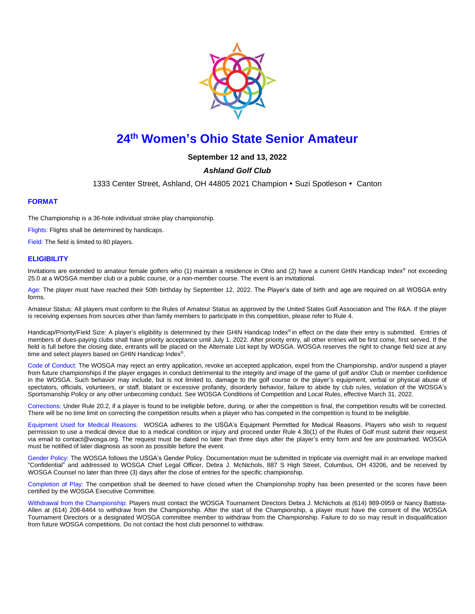

# **24 th Women's Ohio State Senior Amateur**

**September 12 and 13, 2022**

# *Ashland Golf Club*

1333 Center Street, Ashland, OH 44805 2021 Champion • Suzi Spotleson • Canton

## **FORMAT**

The Championship is a 36-hole individual stroke play championship.

Flights: Flights shall be determined by handicaps.

Field: The field is limited to 80 players.

#### **ELIGIBILITY**

Invitations are extended to amateur female golfers who (1) maintain a residence in Ohio and (2) have a current GHIN Handicap Index® not exceeding 25.0 at a WOSGA member club or a public course, or a non-member course. The event is an invitational.

Age: The player must have reached their 50th birthday by September 12, 2022. The Player's date of birth and age are required on all WOSGA entry forms.

Amateur Status: All players must conform to the [Rules of Amateur Status](https://www.usga.org/rules/rules-of-amateur-status.html#!rule-01) as approved by the United States Golf Association and The R&A. If the player is receiving expenses from sources other than family members to participate in this competition, please refer to [Rule 4.](https://www.usga.org/rules/rules-of-amateur-status.html#!rule-04)

Handicap/Priority/Field Size: A player's eligibility is determined by their GHIN Handicap Index® in effect on the date their entry is submitted. Entries of members of dues-paying clubs shall have priority acceptance until July 1, 2022. After priority entry, all other entries will be first come, first served. If the field is full before the closing date, entrants will be placed on the Alternate List kept by WOSGA. WOSGA reserves the right to change field size at any time and select players based on GHIN Handicap Index® .

Code of Conduct: The WOSGA may reject an entry application, revoke an accepted application, expel from the Championship, and/or suspend a player from future championships if the player engages in conduct detrimental to the integrity and image of the game of golf and/or Club or member confidence in the WOSGA. Such behavior may include, but is not limited to, damage to the golf course or the player's equipment, verbal or physical abuse of spectators, officials, volunteers, or staff, blatant or excessive profanity, disorderly behavior, failure to abide by club rules, violation of the WOSGA's Sportsmanship Policy or any other unbecoming conduct. See WOSGA Conditions of Competition and Local Rules, effective March 31, 2022.

Corrections: Unde[r Rule 20.2,](https://www.usga.org/content/usga/home-page/rules/rules-2019/rules-of-golf/rule-20.html#:~:text=A%20player%20who%20is%20uncertain%20about%20the%20right%20procedure%20while,Continued).) if a player is found to be ineligible before, during, or after the competition is final, the competition results will be corrected. There will be no time limit on correcting the competition results when a player who has competed in the competition is found to be ineligible.

Equipment Used for Medical Reasons: WOSGA adheres to the USGA's Equipment Permitted for Medical Reasons. Players who wish to request permission to use a medical device due to a medical condition or injury and proceed under Rule 4.3b(1) of the Rules of Golf must submit their request via email to [contact@wosga.org.](mailto:contact@wosga.org.The) The request must be dated no later than three days after the player's entry form and fee are postmarked. WOSGA must be notified of later diagnosis as soon as possible before the event.

Gender Policy: The WOSGA follows the [USGA's Gender Policy.](https://www.usga.org/genderpolicy.html#:~:text=In%20any%20USGA%20championship%20in,person%20of%20that%20particular%20gender.) Documentation must be submitted in triplicate via overnight mail in an envelope marked "Confidential" and addressed to WOSGA Chief Legal Officer, Debra J. McNichols, 887 S High Street, Columbus, OH 43206, and be received by WOSGA Counsel no later than three (3) days after the close of entries for the specific championship.

Completion of Play: The competition shall be deemed to have closed when the Championship trophy has been presented or the scores have been certified by the WOSGA Executive Committee.

Withdrawal from the Championship: Players must contact the WOSGA Tournament Directors Debra J. McNichols at (614) 989-0959 or Nancy Battista-Allen at (614) 208-6464 to withdraw from the Championship. After the start of the Championship, a player must have the consent of the WOSGA Tournament Directors or a designated WOSGA committee member to withdraw from the Championship. Failure to do so may result in disqualification from future WOSGA competitions. Do not contact the host club personnel to withdraw.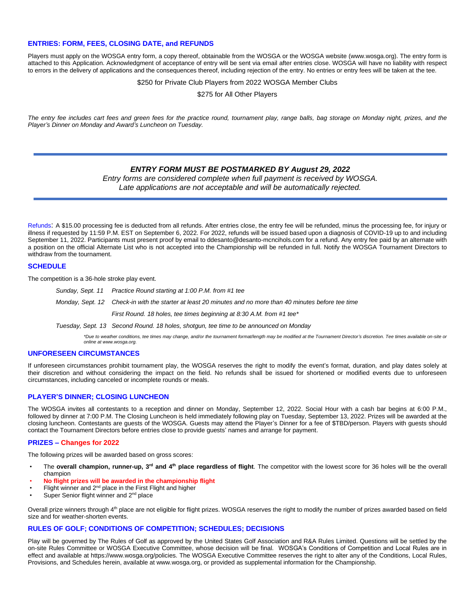### **ENTRIES: FORM, FEES, CLOSING DATE, and REFUNDS**

Players must apply on the WOSGA entry form, a copy thereof, obtainable from the WOSGA or the WOSGA website (www.wosga.org). The entry form is attached to this Application. Acknowledgment of acceptance of entry will be sent via email after entries close. WOSGA will have no liability with respect to errors in the delivery of applications and the consequences thereof, including rejection of the entry. No entries or entry fees will be taken at the tee.

\$250 for Private Club Players from 2022 WOSGA Member Clubs

\$275 for All Other Players

*The entry fee includes cart fees and green fees for the practice round, tournament play, range balls, bag storage on Monday night, prizes, and the Player's Dinner on Monday and Award's Luncheon on Tuesday.*

## *ENTRY FORM MUST BE POSTMARKED BY August 29, 2022*

*Entry forms are considered complete when full payment is received by WOSGA. Late applications are not acceptable and will be automatically rejected.*

Refunds: A \$15.00 processing fee is deducted from all refunds. After entries close, the entry fee will be refunded, minus the processing fee, for injury or illness if requested by 11:59 P.M. EST on September 6, 2022. For 2022, refunds will be issued based upon a diagnosis of COVID-19 up to and including September 11, 2022. Participants must present proof by email to ddesanto@desanto-mcncihols.com for a refund. Any entry fee paid by an alternate with a position on the official Alternate List who is not accepted into the Championship will be refunded in full. Notify the WOSGA Tournament Directors to withdraw from the tournament.

#### **SCHEDULE**

The competition is a 36-hole stroke play event.

- *Sunday, Sept. 11 Practice Round starting at 1:00 P.M. from #1 tee*
- *Monday, Sept. 12 Check-in with the starter at least 20 minutes and no more than 40 minutes before tee time*
	- *First Round. 18 holes, tee times beginning at 8:30 A.M. from #1 tee\**
- *Tuesday, Sept. 13 Second Round. 18 holes, shotgun, tee time to be announced on Monday*

*\*Due to weather conditions, tee times may change, and/or the tournament format/length may be modified at the Tournament Director's discretion. Tee times available on-site or online at www.wosga.org.*

#### **UNFORESEEN CIRCUMSTANCES**

If unforeseen circumstances prohibit tournament play, the WOSGA reserves the right to modify the event's format, duration, and play dates solely at their discretion and without considering the impact on the field. No refunds shall be issued for shortened or modified events due to unforeseen circumstances, including canceled or incomplete rounds or meals.

## **PLAYER'S DINNER; CLOSING LUNCHEON**

The WOSGA invites all contestants to a reception and dinner on Monday, September 12, 2022. Social Hour with a cash bar begins at 6:00 P.M., followed by dinner at 7:00 P.M. The Closing Luncheon is held immediately following play on Tuesday, September 13, 2022. Prizes will be awarded at the closing luncheon. Contestants are guests of the WOSGA. Guests may attend the Player's Dinner for a fee of \$TBD/person. Players with guests should contact the Tournament Directors before entries close to provide guests' names and arrange for payment.

#### **PRIZES – Changes for 2022**

The following prizes will be awarded based on gross scores:

- **FRE The overall champion, runner-up, 3<sup>rd</sup> and 4<sup>th</sup> place regardless of flight**. The competitor with the lowest score for 36 holes will be the overall champion
- **No flight prizes will be awarded in the championship flight**
- Flight winner and 2<sup>nd</sup> place in the First Flight and higher
- Super Senior flight winner and 2<sup>nd</sup> place

Overall prize winners through 4<sup>th</sup> place are not eligible for flight prizes. WOSGA reserves the right to modify the number of prizes awarded based on field size and for weather-shorten events.

#### **RULES OF GOLF; CONDITIONS OF COMPETITION; SCHEDULES; DECISIONS**

Play will be governed by The Rules of Golf as approved by the United States Golf Association and R&A Rules Limited. Questions will be settled by the on-site Rules Committee or WOSGA Executive Committee, whose decision will be final. WOSGA's Conditions of Competition and Local Rules are in effect and available at https://www.wosga.org/policies. The WOSGA Executive Committee reserves the right to alter any of the Conditions, Local Rules, Provisions, and Schedules herein, available at www.wosga.org, or provided as supplemental information for the Championship.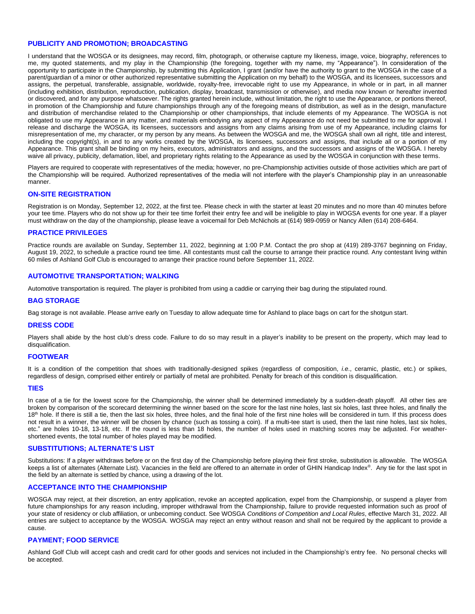#### **PUBLICITY AND PROMOTION; BROADCASTING**

I understand that the WOSGA or its designees, may record, film, photograph, or otherwise capture my likeness, image, voice, biography, references to me, my quoted statements, and my play in the Championship (the foregoing, together with my name, my "Appearance"). In consideration of the opportunity to participate in the Championship, by submitting this Application, I grant (and/or have the authority to grant to the WOSGA in the case of a parent/guardian of a minor or other authorized representative submitting the Application on my behalf) to the WOSGA, and its licensees, successors and assigns, the perpetual, transferable, assignable, worldwide, royalty-free, irrevocable right to use my Appearance, in whole or in part, in all manner (including exhibition, distribution, reproduction, publication, display, broadcast, transmission or otherwise), and media now known or hereafter invented or discovered, and for any purpose whatsoever. The rights granted herein include, without limitation, the right to use the Appearance, or portions thereof, in promotion of the Championship and future championships through any of the foregoing means of distribution, as well as in the design, manufacture and distribution of merchandise related to the Championship or other championships, that include elements of my Appearance. The WOSGA is not obligated to use my Appearance in any matter, and materials embodying any aspect of my Appearance do not need be submitted to me for approval. I release and discharge the WOSGA, its licensees, successors and assigns from any claims arising from use of my Appearance, including claims for misrepresentation of me, my character, or my person by any means. As between the WOSGA and me, the WOSGA shall own all right, title and interest, including the copyright(s), in and to any works created by the WOSGA, its licensees, successors and assigns, that include all or a portion of my Appearance. This grant shall be binding on my heirs, executors, administrators and assigns, and the successors and assigns of the WOSGA. I hereby waive all privacy, publicity, defamation, libel, and proprietary rights relating to the Appearance as used by the WOSGA in conjunction with these terms.

Players are required to cooperate with representatives of the media; however, no pre-Championship activities outside of those activities which are part of the Championship will be required. Authorized representatives of the media will not interfere with the player's Championship play in an unreasonable manner.

## **ON-SITE REGISTRATION**

Registration is on Monday, September 12, 2022, at the first tee. Please check in with the starter at least 20 minutes and no more than 40 minutes before your tee time. Players who do not show up for their tee time forfeit their entry fee and will be ineligible to play in WOGSA events for one year. If a player must withdraw on the day of the championship, please leave a voicemail for Deb McNichols at (614) 989-0959 or Nancy Allen (614) 208-6464.

#### **PRACTICE PRIVILEGES**

Practice rounds are available on Sunday, September 11, 2022, beginning at 1:00 P.M. Contact the pro shop at (419) 289-3767 beginning on Friday, August 19, 2022, to schedule a practice round tee time. All contestants must call the course to arrange their practice round. Any contestant living within 60 miles of Ashland Golf Club is encouraged to arrange their practice round before September 11, 2022.

#### **AUTOMOTIVE TRANSPORTATION; WALKING**

Automotive transportation is required. The player is prohibited from using a caddie or carrying their bag during the stipulated round.

#### **BAG STORAGE**

Bag storage is not available. Please arrive early on Tuesday to allow adequate time for Ashland to place bags on cart for the shotgun start.

#### **DRESS CODE**

Players shall abide by the host club's dress code. Failure to do so may result in a player's inability to be present on the property, which may lead to disqualification.

#### **FOOTWEAR**

It is a condition of the competition that shoes with traditionally-designed spikes (regardless of composition, *i.e*., ceramic, plastic, etc.) or spikes, regardless of design, comprised either entirely or partially of metal are prohibited. Penalty for breach of this condition is disqualification.

#### **TIES**

In case of a tie for the lowest score for the Championship, the winner shall be determined immediately by a sudden-death playoff. All other ties are broken by comparison of the scorecard determining the winner based on the score for the last nine holes, last six holes, last three holes, and finally the 18<sup>th</sup> hole. If there is still a tie, then the last six holes, three holes, and the final hole of the first nine holes will be considered in turn. If this process does not result in a winner, the winner will be chosen by chance (such as tossing a coin). If a multi-tee start is used, then the last nine holes, last six holes, etc." are holes 10-18, 13-18, etc. If the round is less than 18 holes, the number of holes used in matching scores may be adjusted. For weathershortened events, the total number of holes played may be modified.

#### **SUBSTITUTIONS; ALTERNATE'S LIST**

Substitutions: If a player withdraws before or on the first day of the Championship before playing their first stroke, substitution is allowable. The WOSGA keeps a list of alternates (Alternate List). Vacancies in the field are offered to an alternate in order of GHIN Handicap Index®. Any tie for the last spot in the field by an alternate is settled by chance, using a drawing of the lot.

#### **ACCEPTANCE INTO THE CHAMPIONSHIP**

WOSGA may reject, at their discretion, an entry application, revoke an accepted application, expel from the Championship, or suspend a player from future championships for any reason including, improper withdrawal from the Championship, failure to provide requested information such as proof of your state of residency or club affiliation, or unbecoming conduct. See WOSGA *Conditions of Competition and Local Rules*, effective March 31, 2022. All entries are subject to acceptance by the WOSGA. WOSGA may reject an entry without reason and shall not be required by the applicant to provide a cause.

#### **PAYMENT; FOOD SERVICE**

Ashland Golf Club will accept cash and credit card for other goods and services not included in the Championship's entry fee. No personal checks will be accepted.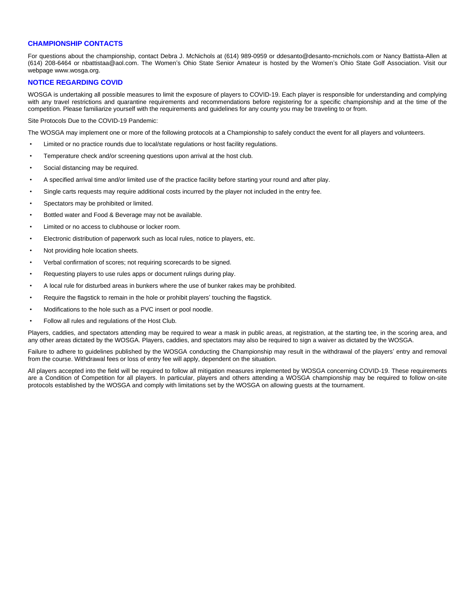## **CHAMPIONSHIP CONTACTS**

For questions about the championship, contact Debra J. McNichols at (614) 989-0959 or ddesanto@desanto-mcnichols.com or Nancy Battista-Allen at (614) 208-6464 or nbattistaa@aol.com. The Women's Ohio State Senior Amateur is hosted by the Women's Ohio State Golf Association. Visit our webpage www.wosga.org.

#### **NOTICE REGARDING COVID**

WOSGA is undertaking all possible measures to limit the exposure of players to COVID-19. Each player is responsible for understanding and complying with any travel restrictions and quarantine requirements and recommendations before registering for a specific championship and at the time of the competition. Please familiarize yourself with the requirements and guidelines for any county you may be traveling to or from.

Site Protocols Due to the COVID-19 Pandemic:

The WOSGA may implement one or more of the following protocols at a Championship to safely conduct the event for all players and volunteers.

- Limited or no practice rounds due to local/state regulations or host facility regulations.
- Temperature check and/or screening questions upon arrival at the host club.
- Social distancing may be required.
- A specified arrival time and/or limited use of the practice facility before starting your round and after play.
- Single carts requests may require additional costs incurred by the player not included in the entry fee.
- Spectators may be prohibited or limited.
- Bottled water and Food & Beverage may not be available.
- Limited or no access to clubhouse or locker room.
- Electronic distribution of paperwork such as local rules, notice to players, etc.
- Not providing hole location sheets.
- Verbal confirmation of scores; not requiring scorecards to be signed.
- Requesting players to use rules apps or document rulings during play.
- A local rule for disturbed areas in bunkers where the use of bunker rakes may be prohibited.
- Require the flagstick to remain in the hole or prohibit players' touching the flagstick.
- Modifications to the hole such as a PVC insert or pool noodle.
- Follow all rules and regulations of the Host Club.

Players, caddies, and spectators attending may be required to wear a mask in public areas, at registration, at the starting tee, in the scoring area, and any other areas dictated by the WOSGA. Players, caddies, and spectators may also be required to sign a waiver as dictated by the WOSGA.

Failure to adhere to guidelines published by the WOSGA conducting the Championship may result in the withdrawal of the players' entry and removal from the course. Withdrawal fees or loss of entry fee will apply, dependent on the situation.

All players accepted into the field will be required to follow all mitigation measures implemented by WOSGA concerning COVID-19. These requirements are a Condition of Competition for all players. In particular, players and others attending a WOSGA championship may be required to follow on-site protocols established by the WOSGA and comply with limitations set by the WOSGA on allowing guests at the tournament.